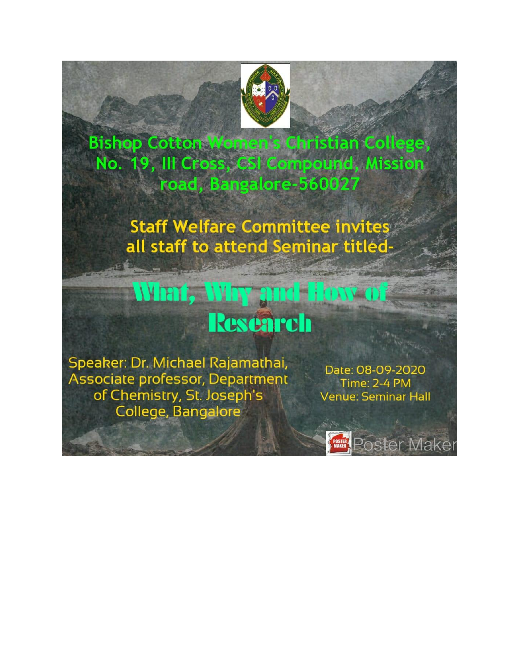

**Bishop Cotton Women's Christian College,** No. 19, III Cross, CSI Compound, Mission road, Bangalore-560027

> **Staff Welfare Committee invites** all staff to attend Seminar titled-

## What, Why and How of **Research**

Speaker: Dr. Michael Rajamathai, Associate professor, Department of Chemistry, St. Joseph's College, Bangalore

Date: 08-09-2020 Time: 2-4 PM **Venue: Seminar Hall** 

**Poster Maker**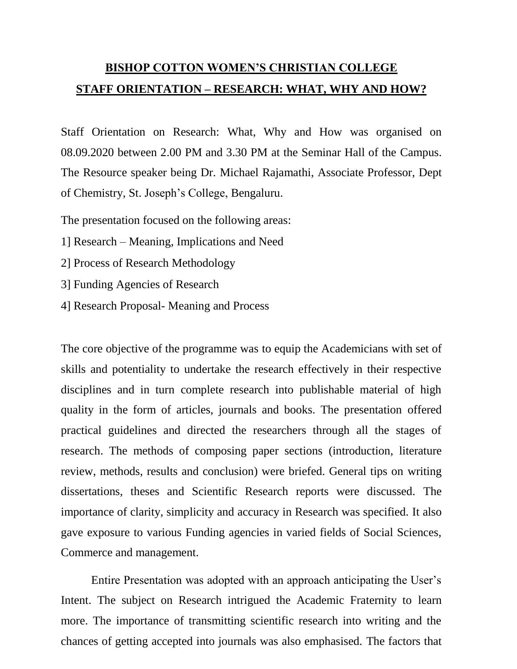## **BISHOP COTTON WOMEN'S CHRISTIAN COLLEGE STAFF ORIENTATION – RESEARCH: WHAT, WHY AND HOW?**

Staff Orientation on Research: What, Why and How was organised on 08.09.2020 between 2.00 PM and 3.30 PM at the Seminar Hall of the Campus. The Resource speaker being Dr. Michael Rajamathi, Associate Professor, Dept of Chemistry, St. Joseph's College, Bengaluru.

The presentation focused on the following areas:

- 1] Research Meaning, Implications and Need
- 2] Process of Research Methodology
- 3] Funding Agencies of Research
- 4] Research Proposal- Meaning and Process

The core objective of the programme was to equip the Academicians with set of skills and potentiality to undertake the research effectively in their respective disciplines and in turn complete research into publishable material of high quality in the form of articles, journals and books. The presentation offered practical guidelines and directed the researchers through all the stages of research. The methods of composing paper sections (introduction, literature review, methods, results and conclusion) were briefed. General tips on writing dissertations, theses and Scientific Research reports were discussed. The importance of clarity, simplicity and accuracy in Research was specified. It also gave exposure to various Funding agencies in varied fields of Social Sciences, Commerce and management.

Entire Presentation was adopted with an approach anticipating the User's Intent. The subject on Research intrigued the Academic Fraternity to learn more. The importance of transmitting scientific research into writing and the chances of getting accepted into journals was also emphasised. The factors that